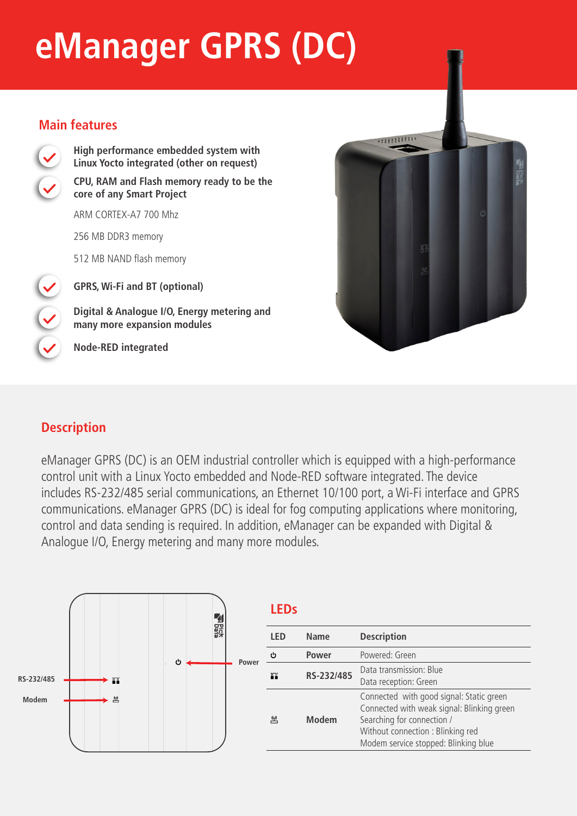# **eManager GPRS (DC)**

#### **Main features**



**High performance embedded system with Linux Yocto integrated (other on request) CPU, RAM and Flash memory ready to be the core of any Smart Project** 

ARM CORTEX-A7 700 Mhz

256 MB DDR3 memory

512 MB NAND flash memory

**GPRS, Wi-Fi and BT (optional)**

**Digital & Analogue I/O, Energy metering and many more expansion modules**

**Node-RED integrated**



## **Description**

eManager GPRS (DC) is an OEM industrial controller which is equipped with a high-performance control unit with a Linux Yocto embedded and Node-RED software integrated. The device includes RS-232/485 serial communications, an Ethernet 10/100 port, a Wi-Fi interface and GPRS communications. eManager GPRS (DC) is ideal for fog computing applications where monitoring, control and data sending is required. In addition, eManager can be expanded with Digital & Analogue I/O, Energy metering and many more modules.



|  | l FDs |              |                                                                                                                                                                                                   |  |
|--|-------|--------------|---------------------------------------------------------------------------------------------------------------------------------------------------------------------------------------------------|--|
|  | I FD  | <b>Name</b>  | <b>Description</b>                                                                                                                                                                                |  |
|  | ტ     | <b>Power</b> | Powered: Green                                                                                                                                                                                    |  |
|  | ш     | RS-232/485   | Data transmission: Blue<br>Data reception: Green                                                                                                                                                  |  |
|  | 凹     | <b>Modem</b> | Connected with good signal: Static green<br>Connected with weak signal: Blinking green<br>Searching for connection /<br>Without connection : Blinking red<br>Modem service stopped: Blinking blue |  |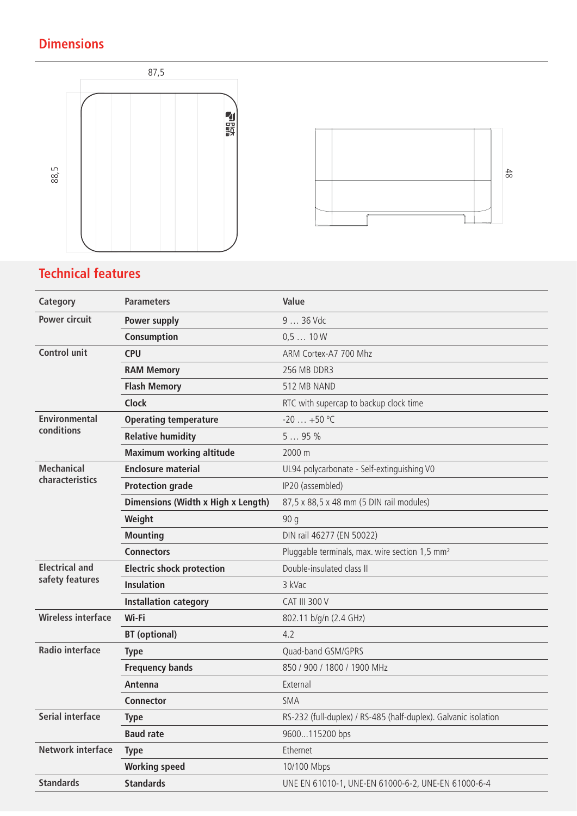## **Dimensions**





## **Technical features**

| Category                           | <b>Parameters</b>                  | Value                                                           |
|------------------------------------|------------------------------------|-----------------------------------------------------------------|
| <b>Power circuit</b>               | Power supply                       | 9  36 Vdc                                                       |
|                                    | Consumption                        | 0.510W                                                          |
| <b>Control unit</b>                | <b>CPU</b>                         | ARM Cortex-A7 700 Mhz                                           |
|                                    | <b>RAM Memory</b>                  | 256 MB DDR3                                                     |
|                                    | <b>Flash Memory</b>                | 512 MB NAND                                                     |
|                                    | <b>Clock</b>                       | RTC with supercap to backup clock time                          |
| <b>Environmental</b><br>conditions | <b>Operating temperature</b>       | $-20+50$ °C                                                     |
|                                    | <b>Relative humidity</b>           | 595%                                                            |
|                                    | <b>Maximum working altitude</b>    | 2000 m                                                          |
| <b>Mechanical</b>                  | <b>Enclosure material</b>          | UL94 polycarbonate - Self-extinguishing V0                      |
| characteristics                    | <b>Protection grade</b>            | IP20 (assembled)                                                |
|                                    | Dimensions (Width x High x Length) | 87,5 x 88,5 x 48 mm (5 DIN rail modules)                        |
|                                    | Weight                             | 90 g                                                            |
|                                    | <b>Mounting</b>                    | DIN rail 46277 (EN 50022)                                       |
|                                    | <b>Connectors</b>                  | Pluggable terminals, max. wire section 1,5 mm <sup>2</sup>      |
| <b>Electrical and</b>              | <b>Electric shock protection</b>   | Double-insulated class II                                       |
| safety features                    | <b>Insulation</b>                  | 3 kVac                                                          |
|                                    | <b>Installation category</b>       | <b>CAT III 300 V</b>                                            |
| <b>Wireless interface</b>          | Wi-Fi                              | 802.11 b/g/n (2.4 GHz)                                          |
|                                    | <b>BT</b> (optional)               | 4.2                                                             |
| <b>Radio interface</b>             | <b>Type</b>                        | Quad-band GSM/GPRS                                              |
|                                    | <b>Frequency bands</b>             | 850 / 900 / 1800 / 1900 MHz                                     |
|                                    | Antenna                            | External                                                        |
|                                    | Connector                          | <b>SMA</b>                                                      |
| <b>Serial interface</b>            | <b>Type</b>                        | RS-232 (full-duplex) / RS-485 (half-duplex). Galvanic isolation |
|                                    | <b>Baud rate</b>                   | 9600115200 bps                                                  |
| <b>Network interface</b>           | <b>Type</b>                        | Ethernet                                                        |
|                                    | <b>Working speed</b>               | 10/100 Mbps                                                     |
| <b>Standards</b>                   | <b>Standards</b>                   | UNE EN 61010-1, UNE-EN 61000-6-2, UNE-EN 61000-6-4              |